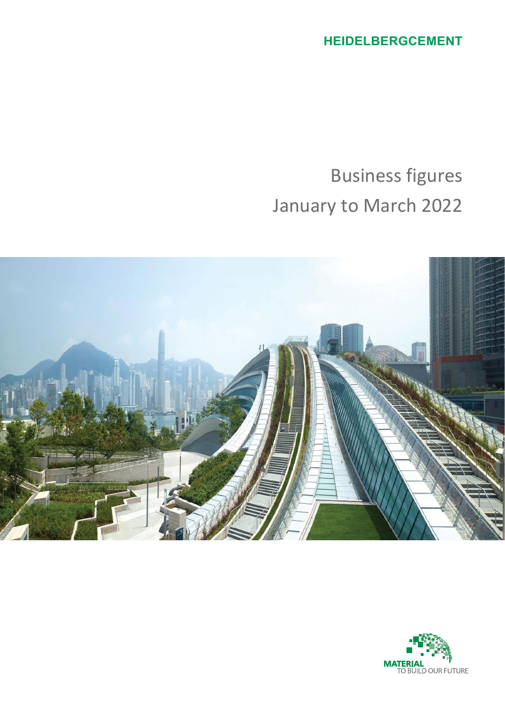**HEIDELBERGCEMENT**

Business figures January to March 2022



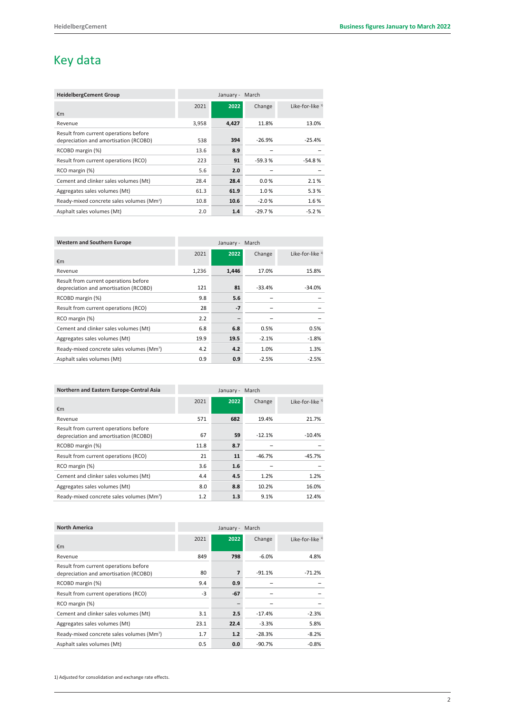# Key data

| <b>HeidelbergCement Group</b>                         | March<br>January - |       |          |                   |
|-------------------------------------------------------|--------------------|-------|----------|-------------------|
|                                                       | 2021               | 2022  | Change   | Like-for-like $1$ |
| €m                                                    |                    |       |          |                   |
| Revenue                                               | 3,958              | 4,427 | 11.8%    | 13.0%             |
| Result from current operations before                 |                    |       |          |                   |
| depreciation and amortisation (RCOBD)                 | 538                | 394   | $-26.9%$ | $-25.4%$          |
| RCOBD margin (%)                                      | 13.6               | 8.9   |          |                   |
| Result from current operations (RCO)                  | 223                | 91    | $-59.3%$ | $-54.8%$          |
| RCO margin (%)                                        | 5.6                | 2.0   |          |                   |
| Cement and clinker sales volumes (Mt)                 | 28.4               | 28.4  | 0.0%     | 2.1%              |
| Aggregates sales volumes (Mt)                         | 61.3               | 61.9  | 1.0%     | 5.3%              |
| Ready-mixed concrete sales volumes (Mm <sup>3</sup> ) | 10.8               | 10.6  | $-2.0%$  | 1.6%              |
| Asphalt sales volumes (Mt)                            | 2.0                | 1.4   | $-29.7%$ | $-5.2%$           |

| <b>Western and Southern Europe</b>                    | March<br>January - |       |          |                             |
|-------------------------------------------------------|--------------------|-------|----------|-----------------------------|
|                                                       | 2021               | 2022  | Change   | Like-for-like <sup>1)</sup> |
| €m                                                    |                    |       |          |                             |
| Revenue                                               | 1,236              | 1,446 | 17.0%    | 15.8%                       |
| Result from current operations before                 |                    |       |          |                             |
| depreciation and amortisation (RCOBD)                 | 121                | 81    | $-33.4%$ | $-34.0%$                    |
| RCOBD margin (%)                                      | 9.8                | 5.6   |          |                             |
| Result from current operations (RCO)                  | 28                 | $-7$  |          |                             |
| RCO margin (%)                                        | 2.2                |       |          |                             |
| Cement and clinker sales volumes (Mt)                 | 6.8                | 6.8   | 0.5%     | 0.5%                        |
| Aggregates sales volumes (Mt)                         | 19.9               | 19.5  | $-2.1%$  | $-1.8%$                     |
| Ready-mixed concrete sales volumes (Mm <sup>3</sup> ) | 4.2                | 4.2   | 1.0%     | 1.3%                        |
| Asphalt sales volumes (Mt)                            | 0.9                | 0.9   | $-2.5%$  | $-2.5%$                     |
|                                                       |                    |       |          |                             |

| Northern and Eastern Europe-Central Asia                                       | March<br>January - |      |          |                   |
|--------------------------------------------------------------------------------|--------------------|------|----------|-------------------|
| €m                                                                             | 2021               | 2022 | Change   | Like-for-like $1$ |
| Revenue                                                                        | 571                | 682  | 19.4%    | 21.7%             |
| Result from current operations before<br>depreciation and amortisation (RCOBD) | 67                 | 59   | $-12.1%$ | $-10.4%$          |
| RCOBD margin (%)                                                               | 11.8               | 8.7  |          |                   |
| Result from current operations (RCO)                                           | 21                 | 11   | $-46.7%$ | $-45.7%$          |
| RCO margin (%)                                                                 | 3.6                | 1.6  |          |                   |
| Cement and clinker sales volumes (Mt)                                          | 4.4                | 4.5  | 1.2%     | 1.2%              |
| Aggregates sales volumes (Mt)                                                  | 8.0                | 8.8  | 10.2%    | 16.0%             |
| Ready-mixed concrete sales volumes (Mm <sup>3</sup> )                          | 1.2                | 1.3  | 9.1%     | 12.4%             |

| <b>North America</b>                                  | March<br>January - |       |          |                   |
|-------------------------------------------------------|--------------------|-------|----------|-------------------|
|                                                       | 2021               | 2022  | Change   | Like-for-like $1$ |
| €m                                                    |                    |       |          |                   |
| Revenue                                               | 849                | 798   | $-6.0%$  | 4.8%              |
| Result from current operations before                 |                    |       |          |                   |
| depreciation and amortisation (RCOBD)                 | 80                 | 7     | $-91.1%$ | $-71.2%$          |
| RCOBD margin (%)                                      | 9.4                | 0.9   |          |                   |
| Result from current operations (RCO)                  | -3                 | $-67$ |          |                   |
| RCO margin (%)                                        |                    |       |          |                   |
| Cement and clinker sales volumes (Mt)                 | 3.1                | 2.5   | $-17.4%$ | $-2.3%$           |
| Aggregates sales volumes (Mt)                         | 23.1               | 22.4  | $-3.3%$  | 5.8%              |
| Ready-mixed concrete sales volumes (Mm <sup>3</sup> ) | 1.7                | 1.2   | $-28.3%$ | $-8.2%$           |
| Asphalt sales volumes (Mt)                            | 0.5                | 0.0   | $-90.7%$ | $-0.8%$           |

1) Adjusted for consolidation and exchange rate effects.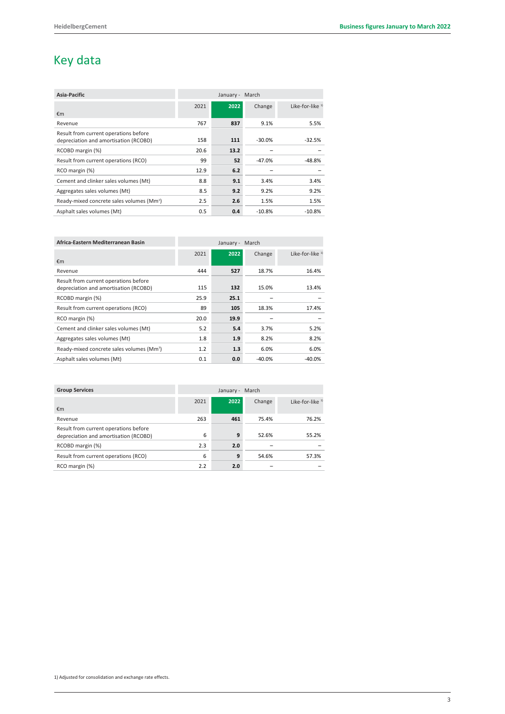# Key data

| Asia-Pacific                                          | March<br>January - |      |          |                   |
|-------------------------------------------------------|--------------------|------|----------|-------------------|
|                                                       | 2021               | 2022 | Change   | Like-for-like $1$ |
| €m                                                    |                    |      |          |                   |
| Revenue                                               | 767                | 837  | 9.1%     | 5.5%              |
| Result from current operations before                 |                    |      |          |                   |
| depreciation and amortisation (RCOBD)                 | 158                | 111  | $-30.0%$ | $-32.5%$          |
| RCOBD margin (%)                                      | 20.6               | 13.2 |          |                   |
| Result from current operations (RCO)                  | 99                 | 52   | $-47.0%$ | -48.8%            |
| RCO margin (%)                                        | 12.9               | 6.2  |          |                   |
| Cement and clinker sales volumes (Mt)                 | 8.8                | 9.1  | 3.4%     | 3.4%              |
| Aggregates sales volumes (Mt)                         | 8.5                | 9.2  | 9.2%     | 9.2%              |
| Ready-mixed concrete sales volumes (Mm <sup>3</sup> ) | 2.5                | 2.6  | 1.5%     | 1.5%              |
| Asphalt sales volumes (Mt)                            | 0.5                | 0.4  | $-10.8%$ | $-10.8%$          |

| Africa-Eastern Mediterranean Basin                                             | March<br>January - |      |          |                             |
|--------------------------------------------------------------------------------|--------------------|------|----------|-----------------------------|
| €m                                                                             | 2021               | 2022 | Change   | Like-for-like <sup>1)</sup> |
| Revenue                                                                        | 444                | 527  | 18.7%    | 16.4%                       |
| Result from current operations before<br>depreciation and amortisation (RCOBD) | 115                | 132  | 15.0%    | 13.4%                       |
| RCOBD margin (%)                                                               | 25.9               | 25.1 |          |                             |
| Result from current operations (RCO)                                           | 89                 | 105  | 18.3%    | 17.4%                       |
| RCO margin (%)                                                                 | 20.0               | 19.9 |          |                             |
| Cement and clinker sales volumes (Mt)                                          | 5.2                | 5.4  | 3.7%     | 5.2%                        |
| Aggregates sales volumes (Mt)                                                  | 1.8                | 1.9  | 8.2%     | 8.2%                        |
| Ready-mixed concrete sales volumes (Mm <sup>3</sup> )                          | 1.2                | 1.3  | 6.0%     | 6.0%                        |
| Asphalt sales volumes (Mt)                                                     | 0.1                | 0.0  | $-40.0%$ | $-40.0%$                    |

| <b>Group Services</b>                 |      | January - | March  |                   |
|---------------------------------------|------|-----------|--------|-------------------|
|                                       | 2021 | 2022      | Change | Like-for-like $1$ |
| €m                                    |      |           |        |                   |
| Revenue                               | 263  | 461       | 75.4%  | 76.2%             |
| Result from current operations before |      |           |        |                   |
| depreciation and amortisation (RCOBD) | 6    | 9         | 52.6%  | 55.2%             |
| RCOBD margin (%)                      | 2.3  | 2.0       |        |                   |
| Result from current operations (RCO)  | 6    | 9         | 54.6%  | 57.3%             |
| RCO margin (%)                        | 2.2  | 2.0       |        |                   |